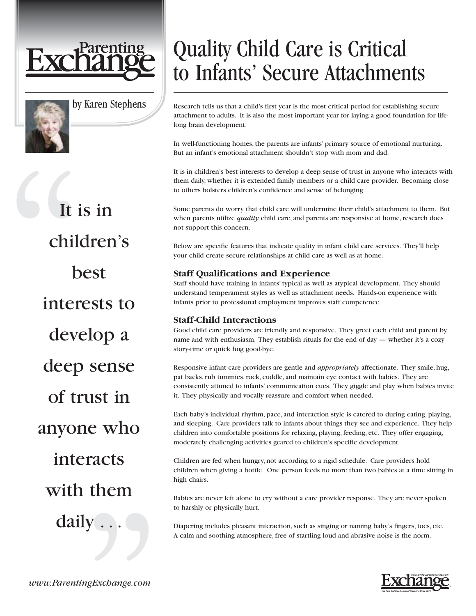



by Karen Stephens

It is in children's best interests to develop a deep sense of trust in anyone who interacts with them daily . . .

# Quality Child Care is Critical to Infants' Secure Attachments

Research tells us that a child's first year is the most critical period for establishing secure attachment to adults. It is also the most important year for laying a good foundation for lifelong brain development.

In well-functioning homes, the parents are infants' primary source of emotional nurturing. But an infant's emotional attachment shouldn't stop with mom and dad.

It is in children's best interests to develop a deep sense of trust in anyone who interacts with them daily, whether it is extended family members or a child care provider. Becoming close to others bolsters children's confidence and sense of belonging.

Some parents do worry that child care will undermine their child's attachment to them. But when parents utilize *quality* child care, and parents are responsive at home, research does not support this concern.

Below are specific features that indicate quality in infant child care services. They'll help your child create secure relationships at child care as well as at home.

## **Staff Qualifications and Experience**

Staff should have training in infants' typical as well as atypical development. They should understand temperament styles as well as attachment needs. Hands-on experience with infants prior to professional employment improves staff competence.

## **Staff-Child Interactions**

Good child care providers are friendly and responsive. They greet each child and parent by name and with enthusiasm. They establish rituals for the end of day — whether it's a cozy story-time or quick hug good-bye.

Responsive infant care providers are gentle and *appropriately* affectionate. They smile, hug, pat backs, rub tummies, rock, cuddle, and maintain eye contact with babies. They are consistently attuned to infants' communication cues. They giggle and play when babies invite it. They physically and vocally reassure and comfort when needed.

Each baby's individual rhythm, pace, and interaction style is catered to during eating, playing, and sleeping. Care providers talk to infants about things they see and experience. They help children into comfortable positions for relaxing, playing, feeding, etc. They offer engaging, moderately challenging activities geared to children's specific development.

Children are fed when hungry, not according to a rigid schedule. Care providers hold children when giving a bottle. One person feeds no more than two babies at a time sitting in high chairs.

Babies are never left alone to cry without a care provider response. They are never spoken to harshly or physically hurt.

Diapering includes pleasant interaction, such as singing or naming baby's fingers, toes, etc. A calm and soothing atmosphere, free of startling loud and abrasive noise is the norm.